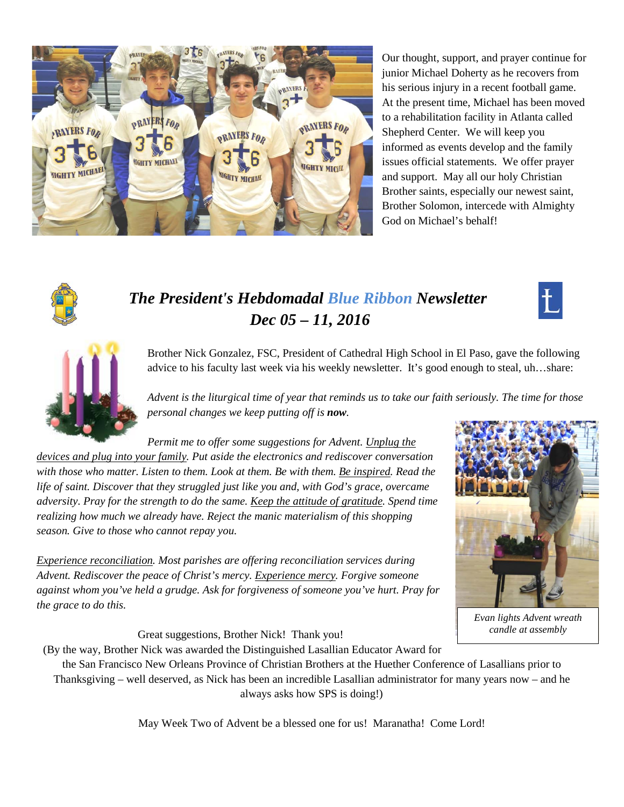

Our thought, support, and prayer continue for junior Michael Doherty as he recovers from his serious injury in a recent football game. At the present time, Michael has been moved to a rehabilitation facility in Atlanta called Shepherd Center. We will keep you informed as events develop and the family issues official statements. We offer prayer and support. May all our holy Christian Brother saints, especially our newest saint, Brother Solomon, intercede with Almighty God on Michael's behalf!



# *The President's Hebdomadal Blue Ribbon Newsletter Dec 05 – 11, 2016*





Brother Nick Gonzalez, FSC, President of Cathedral High School in El Paso, gave the following advice to his faculty last week via his weekly newsletter. It's good enough to steal, uh…share:

*Advent is the liturgical time of year that reminds us to take our faith seriously. The time for those personal changes we keep putting off is now.* 

*Permit me to offer some suggestions for Advent. Unplug the* 

*devices and plug into your family. Put aside the electronics and rediscover conversation with those who matter. Listen to them. Look at them. Be with them. Be inspired. Read the life of saint. Discover that they struggled just like you and, with God's grace, overcame adversity. Pray for the strength to do the same. Keep the attitude of gratitude. Spend time realizing how much we already have. Reject the manic materialism of this shopping season. Give to those who cannot repay you.* 

*Experience reconciliation. Most parishes are offering reconciliation services during Advent. Rediscover the peace of Christ's mercy. Experience mercy. Forgive someone against whom you've held a grudge. Ask for forgiveness of someone you've hurt. Pray for the grace to do this.* 



*Evan lights Advent wreath candle at assembly*

Great suggestions, Brother Nick! Thank you!

(By the way, Brother Nick was awarded the Distinguished Lasallian Educator Award for the San Francisco New Orleans Province of Christian Brothers at the Huether Conference of Lasallians prior to

Thanksgiving – well deserved, as Nick has been an incredible Lasallian administrator for many years now – and he always asks how SPS is doing!)

May Week Two of Advent be a blessed one for us! Maranatha! Come Lord!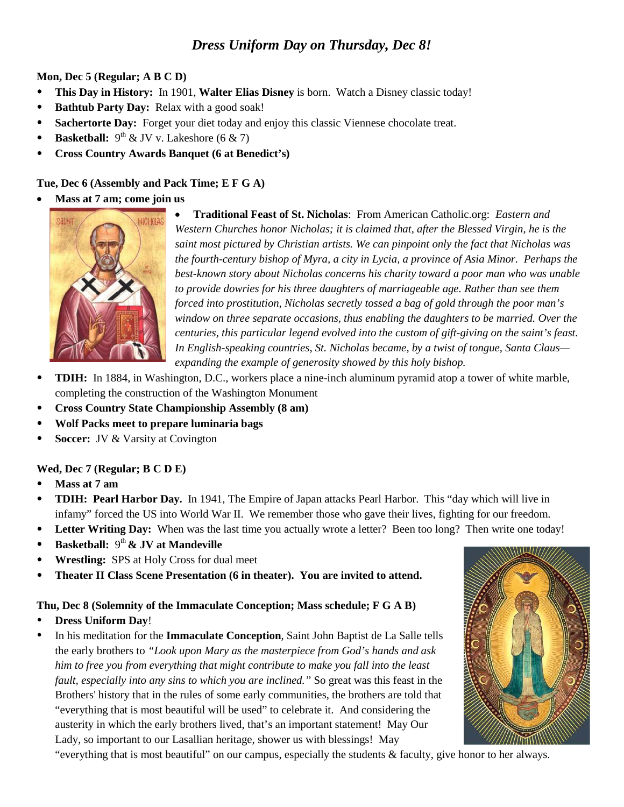### *Dress Uniform Day on Thursday, Dec 8!*

**Mon, Dec 5 (Regular; A B C D)**

- **This Day in History:** In 1901, **Walter Elias Disney** is born. Watch a Disney classic today!
- **Bathtub Party Day:** Relax with a good soak!
- **Sachertorte Day:** Forget your diet today and enjoy this classic Viennese chocolate treat.
- **Basketball:**  $9^{th}$  & JV v. Lakeshore  $(6 \& 7)$
- **Cross Country Awards Banquet (6 at Benedict's)**

### **Tue, Dec 6 (Assembly and Pack Time; E F G A)**

• **Mass at 7 am; come join us**



• **Traditional Feast of St. Nicholas**: From American Catholic.org: *Eastern and Western Churches honor Nicholas; it is claimed that, after the Blessed Virgin, he is the saint most pictured by Christian artists. We can pinpoint only the fact that Nicholas was the fourth-century bishop of Myra, a city in Lycia, a province of Asia Minor. Perhaps the best-known story about Nicholas concerns his charity toward a poor man who was unable to provide dowries for his three daughters of marriageable age. Rather than see them forced into prostitution, Nicholas secretly tossed a bag of gold through the poor man's window on three separate occasions, thus enabling the daughters to be married. Over the centuries, this particular legend evolved into the custom of gift-giving on the saint's feast. In English-speaking countries, St. Nicholas became, by a twist of tongue, Santa Claus expanding the example of generosity showed by this holy bishop.*

- **TDIH:** In 1884, in Washington, D.C., workers place a nine-inch aluminum pyramid atop a tower of white marble, completing the construction of the Washington Monument
- **Cross Country State Championship Assembly (8 am)**
- **Wolf Packs meet to prepare luminaria bags**
- **Soccer:** JV & Varsity at Covington

### **Wed, Dec 7 (Regular; B C D E)**

- **Mass at 7 am**
- **TDIH: Pearl Harbor Day.** In 1941, The Empire of Japan attacks Pearl Harbor. This "day which will live in infamy" forced the US into World War II. We remember those who gave their lives, fighting for our freedom.
- Letter Writing Day: When was the last time you actually wrote a letter? Been too long? Then write one today!
- **•** Basketball:  $9<sup>th</sup>$  & JV at Mandeville
- **Wrestling:** SPS at Holy Cross for dual meet
- **Theater II Class Scene Presentation (6 in theater). You are invited to attend.**

### **Thu, Dec 8 (Solemnity of the Immaculate Conception; Mass schedule; F G A B)**

- **Dress Uniform Day**!
- In his meditation for the **Immaculate Conception**, Saint John Baptist de La Salle tells the early brothers to *"Look upon Mary as the masterpiece from God's hands and ask him to free you from everything that might contribute to make you fall into the least fault, especially into any sins to which you are inclined."* So great was this feast in the Brothers' history that in the rules of some early communities, the brothers are told that "everything that is most beautiful will be used" to celebrate it. And considering the austerity in which the early brothers lived, that's an important statement! May Our Lady, so important to our Lasallian heritage, shower us with blessings! May

"everything that is most beautiful" on our campus, especially the students & faculty, give honor to her always.

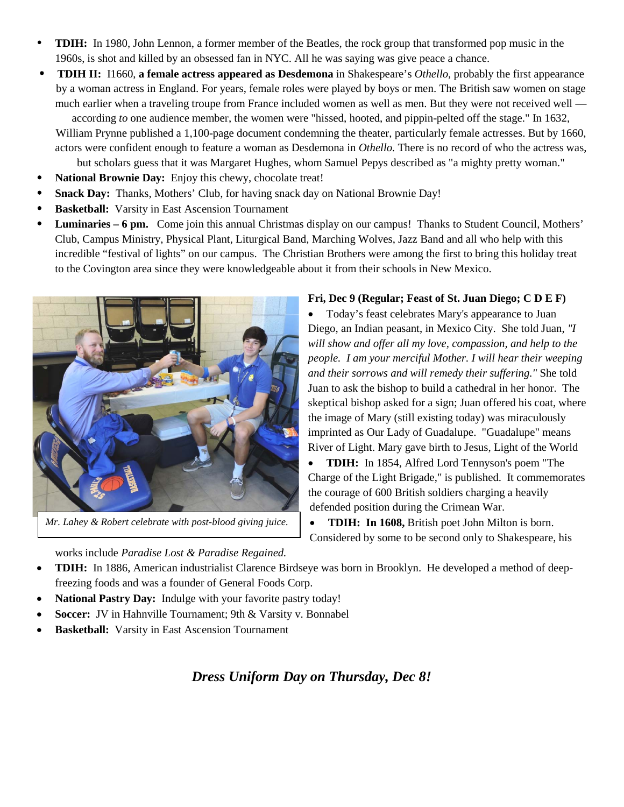- **TDIH:** In 1980, John Lennon, a former member of the Beatles, the rock group that transformed pop music in the 1960s, is shot and killed by an obsessed fan in NYC. All he was saying was give peace a chance.
- **TDIH II:** I1660, **a female actress appeared as Desdemona** in Shakespeare's *Othello,* probably the first appearance by a woman actress in England. For years, female roles were played by boys or men. The British saw women on stage much earlier when a traveling troupe from France included women as well as men. But they were not received well —

according *to* one audience member, the women were "hissed, hooted, and pippin-pelted off the stage." In 1632, William Prynne published a 1,100-page document condemning the theater, particularly female actresses. But by 1660, actors were confident enough to feature a woman as Desdemona in *Othello.* There is no record of who the actress was,

but scholars guess that it was Margaret Hughes, whom Samuel Pepys described as "a mighty pretty woman."

- **National Brownie Day:** Enjoy this chewy, chocolate treat!
- **Snack Day:** Thanks, Mothers' Club, for having snack day on National Brownie Day!
- **Basketball:** Varsity in East Ascension Tournament
- **Luminaries – 6 pm.** Come join this annual Christmas display on our campus! Thanks to Student Council, Mothers' Club, Campus Ministry, Physical Plant, Liturgical Band, Marching Wolves, Jazz Band and all who help with this incredible "festival of lights" on our campus. The Christian Brothers were among the first to bring this holiday treat to the Covington area since they were knowledgeable about it from their schools in New Mexico.



*Mr. Lahey & Robert celebrate with post-blood giving juice.*

#### **Fri, Dec 9 (Regular; Feast of St. Juan Diego; C D E F)**

• Today's feast celebrates Mary's appearance to Juan Diego, an Indian peasant, in Mexico City. She told Juan, *"I will show and offer all my love, compassion, and help to the people. I am your merciful Mother. I will hear their weeping and their sorrows and will remedy their suffering."* She told Juan to ask the bishop to build a cathedral in her honor. The skeptical bishop asked for a sign; Juan offered his coat, where the image of Mary (still existing today) was miraculously imprinted as Our Lady of Guadalupe. "Guadalupe" means River of Light. Mary gave birth to Jesus, Light of the World

• **TDIH:** In 1854, Alfred Lord Tennyson's poem "The Charge of the Light Brigade," is published. It commemorates the courage of 600 British soldiers charging a heavily defended position during the Crimean War.

• **TDIH: In 1608,** British poet John Milton is born. Considered by some to be second only to Shakespeare, his

works include *Paradise Lost & Paradise Regained.*

- **TDIH:** In 1886, American industrialist Clarence Birdseye was born in Brooklyn. He developed a method of deepfreezing foods and was a founder of General Foods Corp.
- **National Pastry Day:** Indulge with your favorite pastry today!
- **Soccer:** JV in Hahnville Tournament; 9th & Varsity v. Bonnabel
- **Basketball:** Varsity in East Ascension Tournament

*Dress Uniform Day on Thursday, Dec 8!*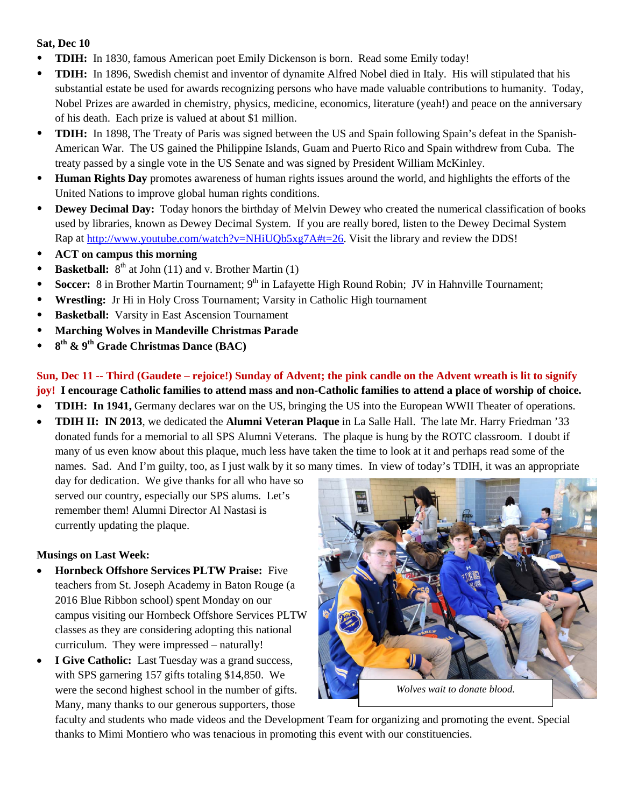### **Sat, Dec 10**

- **TDIH:** In 1830, famous American poet Emily Dickenson is born. Read some Emily today!
- **TDIH:** In 1896, Swedish chemist and inventor of dynamite Alfred Nobel died in Italy. His will stipulated that his substantial estate be used for awards recognizing persons who have made valuable contributions to humanity. Today, Nobel Prizes are awarded in chemistry, physics, medicine, economics, literature (yeah!) and peace on the anniversary of his death. Each prize is valued at about \$1 million.
- **TDIH:** In 1898, The Treaty of Paris was signed between the US and Spain following Spain's defeat in the Spanish-American War. The US gained the Philippine Islands, Guam and Puerto Rico and Spain withdrew from Cuba. The treaty passed by a single vote in the US Senate and was signed by President William McKinley.
- **Human Rights Day** promotes awareness of human rights issues around the world, and highlights the efforts of the United Nations to improve global human rights conditions.
- **Dewey Decimal Day:** Today honors the birthday of Melvin Dewey who created the numerical classification of books used by libraries, known as Dewey Decimal System. If you are really bored, listen to the Dewey Decimal System Rap at [http://www.youtube.com/watch?v=NHiUQb5xg7A#t=26.](http://www.youtube.com/watch?v=NHiUQb5xg7A#t=26) Visit the library and review the DDS!
- **ACT on campus this morning**
- **Basketball:**  $8^{th}$  at John (11) and v. Brother Martin (1)
- Soccer: 8 in Brother Martin Tournament; 9<sup>th</sup> in Lafayette High Round Robin; JV in Hahnville Tournament;
- **Wrestling:** Jr Hi in Holy Cross Tournament; Varsity in Catholic High tournament
- **Basketball:** Varsity in East Ascension Tournament
- **Marching Wolves in Mandeville Christmas Parade**
- **8th & 9th Grade Christmas Dance (BAC)**

**Sun, Dec 11 -- Third (Gaudete – rejoice!) Sunday of Advent; the pink candle on the Advent wreath is lit to signify joy! I encourage Catholic families to attend mass and non-Catholic families to attend a place of worship of choice.**

- **TDIH:** In 1941, Germany declares war on the US, bringing the US into the European WWII Theater of operations.
- **TDIH II: IN 2013**, we dedicated the **Alumni Veteran Plaque** in La Salle Hall.The late Mr. Harry Friedman '33 donated funds for a memorial to all SPS Alumni Veterans. The plaque is hung by the ROTC classroom. I doubt if many of us even know about this plaque, much less have taken the time to look at it and perhaps read some of the names. Sad. And I'm guilty, too, as I just walk by it so many times. In view of today's TDIH, it was an appropriate

day for dedication. We give thanks for all who have so served our country, especially our SPS alums. Let's remember them! Alumni Director Al Nastasi is currently updating the plaque.

### **Musings on Last Week:**

- **Hornbeck Offshore Services PLTW Praise:** Five teachers from St. Joseph Academy in Baton Rouge (a 2016 Blue Ribbon school) spent Monday on our campus visiting our Hornbeck Offshore Services PLTW classes as they are considering adopting this national curriculum. They were impressed – naturally!
- **I Give Catholic:** Last Tuesday was a grand success, with SPS garnering 157 gifts totaling \$14,850. We were the second highest school in the number of gifts. Many, many thanks to our generous supporters, those



faculty and students who made videos and the Development Team for organizing and promoting the event. Special thanks to Mimi Montiero who was tenacious in promoting this event with our constituencies.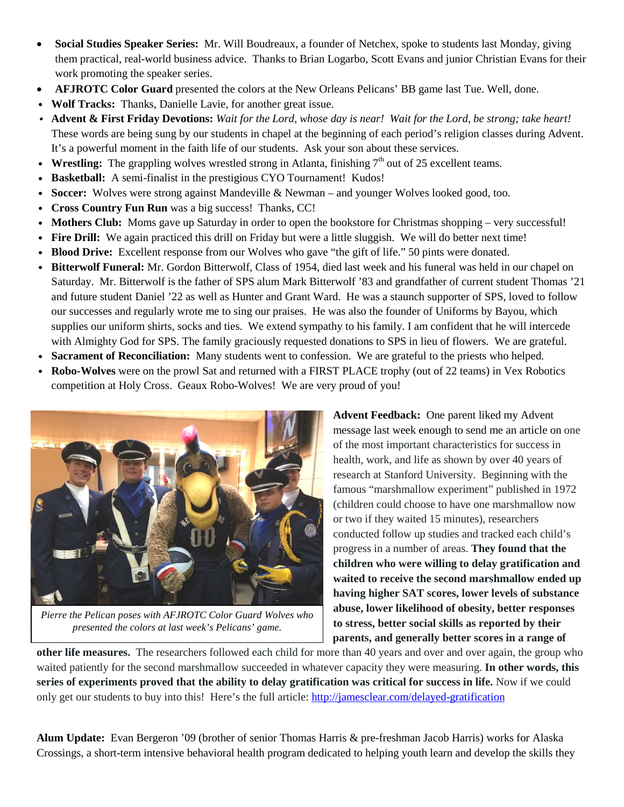- **Social Studies Speaker Series:** Mr. Will Boudreaux, a founder of Netchex, spoke to students last Monday, giving them practical, real-world business advice. Thanks to Brian Logarbo, Scott Evans and junior Christian Evans for their work promoting the speaker series.
- **AFJROTC Color Guard** presented the colors at the New Orleans Pelicans' BB game last Tue. Well, done.
- Wolf Tracks: Thanks, Danielle Lavie, for another great issue.
- v **Advent & First Friday Devotions:** *Wait for the Lord, whose day is near! Wait for the Lord, be strong; take heart!*  These words are being sung by our students in chapel at the beginning of each period's religion classes during Advent. It's a powerful moment in the faith life of our students. Ask your son about these services.
- **Wrestling:** The grappling wolves wrestled strong in Atlanta, finishing  $7<sup>th</sup>$  out of 25 excellent teams.
- v **Basketball:** A semi-finalist in the prestigious CYO Tournament! Kudos!
- **Soccer:** Wolves were strong against Mandeville & Newman and younger Wolves looked good, too.
- v **Cross Country Fun Run** was a big success! Thanks, CC!
- **Mothers Club:** Moms gave up Saturday in order to open the bookstore for Christmas shopping very successful!
- Fire Drill: We again practiced this drill on Friday but were a little sluggish. We will do better next time!
- **Blood Drive:** Excellent response from our Wolves who gave "the gift of life." 50 pints were donated.
- **Bitterwolf Funeral:** Mr. Gordon Bitterwolf, Class of 1954, died last week and his funeral was held in our chapel on Saturday. Mr. Bitterwolf is the father of SPS alum Mark Bitterwolf '83 and grandfather of current student Thomas '21 and future student Daniel '22 as well as Hunter and Grant Ward. He was a staunch supporter of SPS, loved to follow our successes and regularly wrote me to sing our praises. He was also the founder of Uniforms by Bayou, which supplies our uniform shirts, socks and ties. We extend sympathy to his family. I am confident that he will intercede with Almighty God for SPS. The family graciously requested donations to SPS in lieu of flowers. We are grateful.
- **Sacrament of Reconciliation:** Many students went to confession. We are grateful to the priests who helped.
- **Robo-Wolves** were on the prowl Sat and returned with a FIRST PLACE trophy (out of 22 teams) in Vex Robotics competition at Holy Cross. Geaux Robo-Wolves! We are very proud of you!



*Pierre the Pelican poses with AFJROTC Color Guard Wolves who presented the colors at last week's Pelicans' game.*

**Advent Feedback:** One parent liked my Advent message last week enough to send me an article on one of the most important characteristics for success in health, work, and life as shown by over 40 years of research at Stanford University. Beginning with the famous "marshmallow experiment" published in 1972 (children could choose to have one marshmallow now or two if they waited 15 minutes), researchers conducted follow up studies and tracked each child's progress in a number of areas. **They found that the children who were willing to delay gratification and waited to receive the second marshmallow ended up having higher SAT scores, lower levels of substance abuse, lower likelihood of obesity, better responses to stress, better social skills as reported by their parents, and generally better scores in a range of** 

**other life measures.** The researchers followed each child for more than 40 years and over and over again, the group who waited patiently for the second marshmallow succeeded in whatever capacity they were measuring. **In other words, this series of experiments proved that the ability to delay gratification was critical for success in life.** Now if we could only get our students to buy into this! Here's the full article: <http://jamesclear.com/delayed-gratification>

**Alum Update:** Evan Bergeron '09 (brother of senior Thomas Harris & pre-freshman Jacob Harris) works for Alaska Crossings, a short-term intensive behavioral health program dedicated to helping youth learn and develop the skills they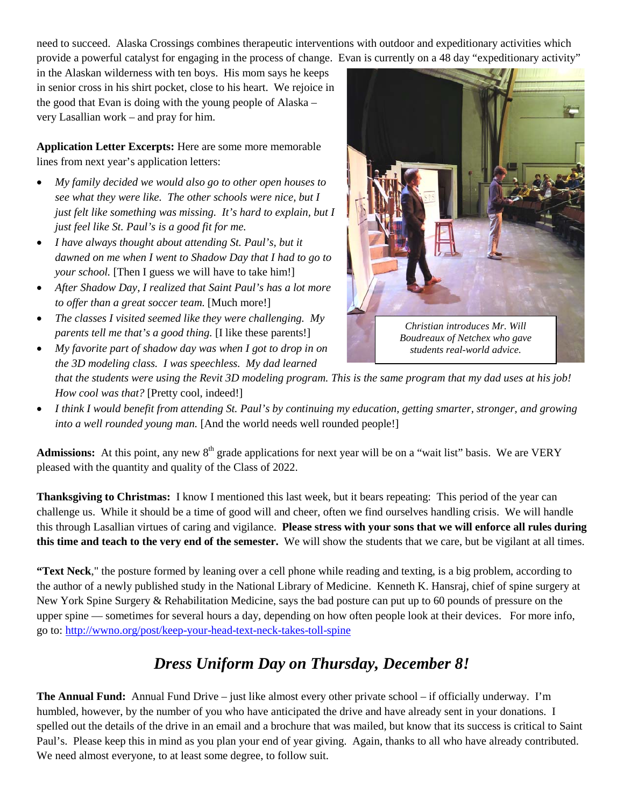need to succeed. Alaska Crossings combines therapeutic interventions with outdoor and expeditionary activities which provide a powerful catalyst for engaging in the process of change. Evan is currently on a 48 day "expeditionary activity"

in the Alaskan wilderness with ten boys. His mom says he keeps in senior cross in his shirt pocket, close to his heart. We rejoice in the good that Evan is doing with the young people of Alaska – very Lasallian work – and pray for him.

**Application Letter Excerpts:** Here are some more memorable lines from next year's application letters:

- *My family decided we would also go to other open houses to see what they were like. The other schools were nice, but I just felt like something was missing. It's hard to explain, but I just feel like St. Paul's is a good fit for me.*
- *I have always thought about attending St. Paul's, but it dawned on me when I went to Shadow Day that I had to go to your school.* [Then I guess we will have to take him!]
- *After Shadow Day, I realized that Saint Paul's has a lot more to offer than a great soccer team.* [Much more!]
- *The classes I visited seemed like they were challenging. My parents tell me that's a good thing.* [I like these parents!]
- *My favorite part of shadow day was when I got to drop in on the 3D modeling class. I was speechless. My dad learned that the students were using the Revit 3D modeling program. This is the same program that my dad uses at his job! How cool was that?* [Pretty cool, indeed!]
- *I think I would benefit from attending St. Paul's by continuing my education, getting smarter, stronger, and growing into a well rounded young man.* [And the world needs well rounded people!]

**Admissions:** At this point, any new  $8<sup>th</sup>$  grade applications for next year will be on a "wait list" basis. We are VERY pleased with the quantity and quality of the Class of 2022.

**Thanksgiving to Christmas:** I know I mentioned this last week, but it bears repeating: This period of the year can challenge us. While it should be a time of good will and cheer, often we find ourselves handling crisis. We will handle this through Lasallian virtues of caring and vigilance. **Please stress with your sons that we will enforce all rules during this time and teach to the very end of the semester.** We will show the students that we care, but be vigilant at all times.

**"Text Neck**," the posture formed by leaning over a cell phone while reading and texting, is a big problem, according to the author of a newly published study in the National Library of Medicine. Kenneth K. Hansraj, chief of spine surgery at New York Spine Surgery & Rehabilitation Medicine, says the bad posture can put up to 60 pounds of pressure on the upper spine — sometimes for several hours a day, depending on how often people look at their devices. For more info, go to:<http://wwno.org/post/keep-your-head-text-neck-takes-toll-spine>

## *Dress Uniform Day on Thursday, December 8!*

**The Annual Fund:** Annual Fund Drive – just like almost every other private school – if officially underway. I'm humbled, however, by the number of you who have anticipated the drive and have already sent in your donations. I spelled out the details of the drive in an email and a brochure that was mailed, but know that its success is critical to Saint Paul's. Please keep this in mind as you plan your end of year giving. Again, thanks to all who have already contributed. We need almost everyone, to at least some degree, to follow suit.

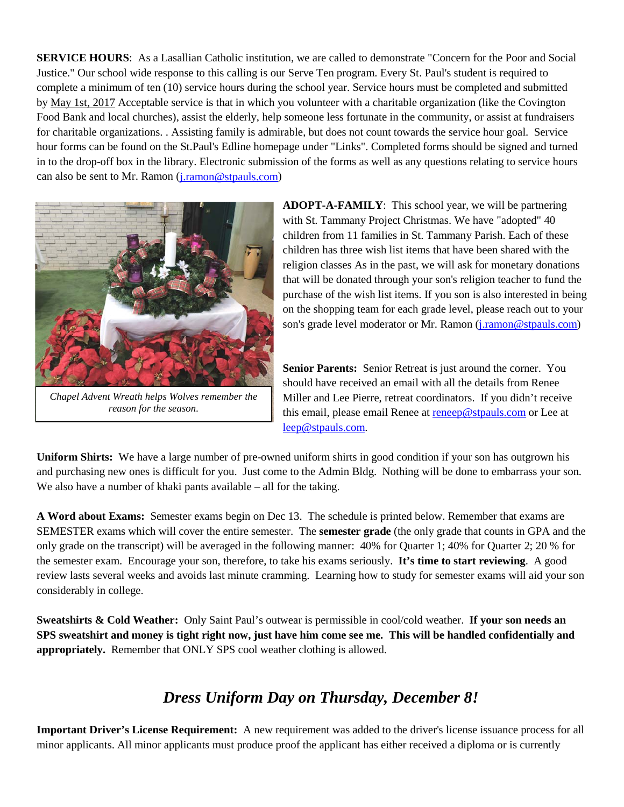**SERVICE HOURS**: As a Lasallian Catholic institution, we are called to demonstrate "Concern for the Poor and Social Justice." Our school wide response to this calling is our Serve Ten program. Every St. Paul's student is required to complete a minimum of ten (10) service hours during the school year. Service hours must be completed and submitted by May 1st, 2017 Acceptable service is that in which you volunteer with a charitable organization (like the Covington can also be sent to Mr. Ramon (*[j.ramon@stpauls.com](mailto:j.ramon@stpauls.com)*) Food Bank and local churches), assist the elderly, help someone less fortunate in the community, or assist at fundraisers for charitable organizations. . Assisting family is admirable, but does not count towards the service hour goal. Service hour forms can be found on the St.Paul's Edline homepage under "Links". Completed forms should be signed and turned in to the drop-off box in the library. Electronic submission of the forms as well as any questions relating to service hours



*Chapel Advent Wreath helps Wolves remember the reason for the season.*

**ADOPT-A-FAMILY**: This school year, we will be partnering with St. Tammany Project Christmas. We have "adopted" 40 children from 11 families in St. Tammany Parish. Each of these children has three wish list items that have been shared with the religion classes As in the past, we will ask for monetary donations that will be donated through your son's religion teacher to fund the purchase of the wish list items. If you son is also interested in being on the shopping team for each grade level, please reach out to your son's grade level moderator or Mr. Ramon [\(j.ramon@stpauls.com\)](mailto:j.ramon@stpauls.com)

**Senior Parents:** Senior Retreat is just around the corner. You should have received an email with all the details from Renee Miller and Lee Pierre, retreat coordinators. If you didn't receive this email, please email Renee at [reneep@stpauls.com](mailto:reneep@stpauls.com) or Lee at [leep@stpauls.com.](mailto:leep@stpauls.com)

**Uniform Shirts:** We have a large number of pre-owned uniform shirts in good condition if your son has outgrown his and purchasing new ones is difficult for you. Just come to the Admin Bldg. Nothing will be done to embarrass your son. We also have a number of khaki pants available – all for the taking.

**A Word about Exams:** Semester exams begin on Dec 13. The schedule is printed below. Remember that exams are SEMESTER exams which will cover the entire semester. The **semester grade** (the only grade that counts in GPA and the only grade on the transcript) will be averaged in the following manner: 40% for Quarter 1; 40% for Quarter 2; 20 % for the semester exam. Encourage your son, therefore, to take his exams seriously. **It's time to start reviewing**. A good review lasts several weeks and avoids last minute cramming. Learning how to study for semester exams will aid your son considerably in college.

**Sweatshirts & Cold Weather:** Only Saint Paul's outwear is permissible in cool/cold weather. **If your son needs an SPS sweatshirt and money is tight right now, just have him come see me. This will be handled confidentially and appropriately.** Remember that ONLY SPS cool weather clothing is allowed.

### *Dress Uniform Day on Thursday, December 8!*

**Important Driver's License Requirement:** A new requirement was added to the driver's license issuance process for all minor applicants. All minor applicants must produce proof the applicant has either received a diploma or is currently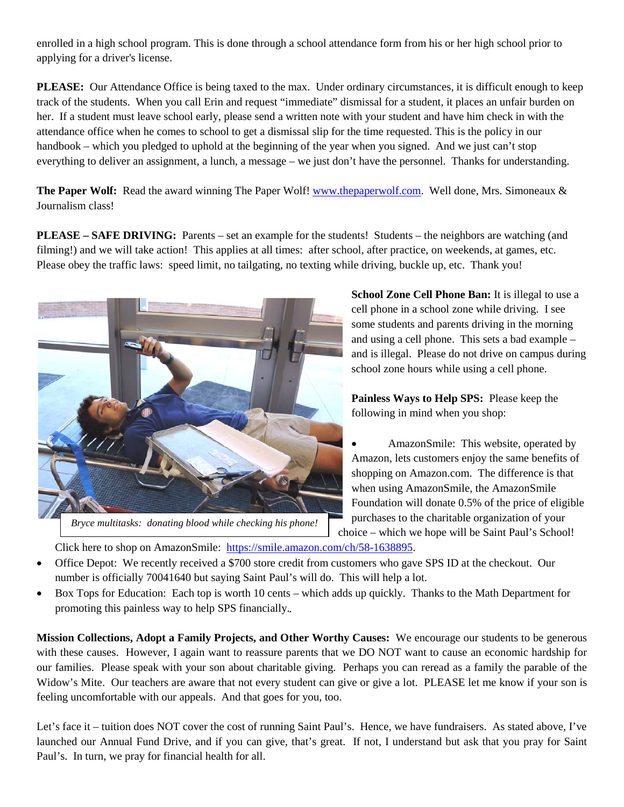enrolled in a high school program. This is done through a school attendance form from his or her high school prior to applying for a driver's license.

**PLEASE:** Our Attendance Office is being taxed to the max. Under ordinary circumstances, it is difficult enough to keep track of the students. When you call Erin and request "immediate" dismissal for a student, it places an unfair burden on her. If a student must leave school early, please send a written note with your student and have him check in with the attendance office when he comes to school to get a dismissal slip for the time requested. This is the policy in our handbook – which you pledged to uphold at the beginning of the year when you signed. And we just can't stop everything to deliver an assignment, a lunch, a message – we just don't have the personnel. Thanks for understanding.

**The Paper Wolf:** Read the award winning The Paper Wolf! [www.thepaperwolf.com.](http://www.thepaperwolf.com/) Well done, Mrs. Simoneaux & Journalism class!

**PLEASE – SAFE DRIVING:** Parents – set an example for the students! Students – the neighbors are watching (and filming!) and we will take action! This applies at all times: after school, after practice, on weekends, at games, etc. Please obey the traffic laws: speed limit, no tailgating, no texting while driving, buckle up, etc. Thank you!



*Bryce multitasks: donating blood while checking his phone!*

**School Zone Cell Phone Ban:** It is illegal to use a cell phone in a school zone while driving. I see some students and parents driving in the morning and using a cell phone. This sets a bad example – and is illegal. Please do not drive on campus during school zone hours while using a cell phone.

**Painless Ways to Help SPS:** Please keep the following in mind when you shop:

• AmazonSmile: This website, operated by Amazon, lets customers enjoy the same benefits of shopping on Amazon.com. The difference is that when using AmazonSmile, the AmazonSmile Foundation will donate 0.5% of the price of eligible purchases to the charitable organization of your choice – which we hope will be Saint Paul's School!

Click here to shop on AmazonSmile: [https://smile.amazon.com/ch/58-1638895.](https://smile.amazon.com/ch/58-1638895)

- Office Depot: We recently received a \$700 store credit from customers who gave SPS ID at the checkout. Our number is officially 70041640 but saying Saint Paul's will do. This will help a lot.
- Box Tops for Education: Each top is worth 10 cents which adds up quickly. Thanks to the Math Department for promoting this painless way to help SPS financially.

**Mission Collections, Adopt a Family Projects, and Other Worthy Causes:** We encourage our students to be generous with these causes. However, I again want to reassure parents that we DO NOT want to cause an economic hardship for our families. Please speak with your son about charitable giving. Perhaps you can reread as a family the parable of the Widow's Mite. Our teachers are aware that not every student can give or give a lot. PLEASE let me know if your son is feeling uncomfortable with our appeals. And that goes for you, too.

Let's face it – tuition does NOT cover the cost of running Saint Paul's. Hence, we have fundraisers. As stated above, I've launched our Annual Fund Drive, and if you can give, that's great. If not, I understand but ask that you pray for Saint Paul's. In turn, we pray for financial health for all.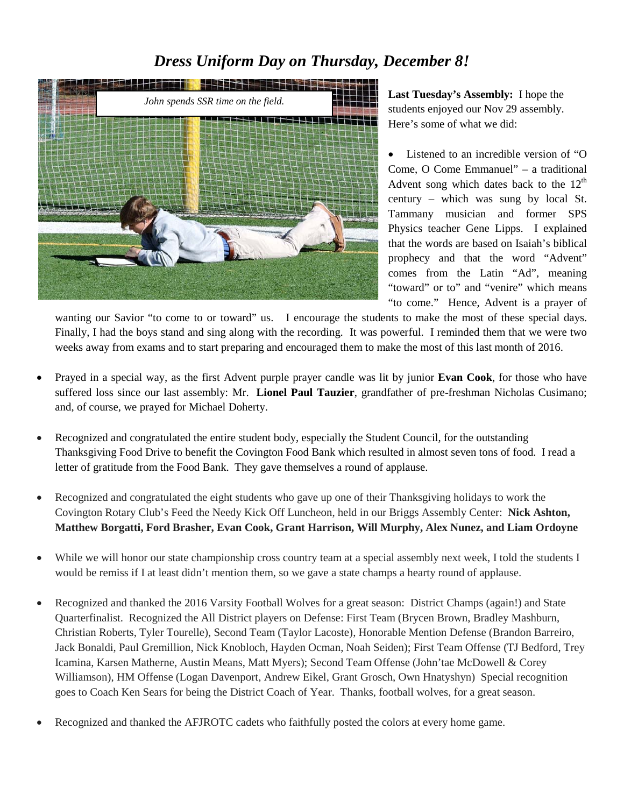### *Dress Uniform Day on Thursday, December 8!*



**Last Tuesday's Assembly:** I hope the students enjoyed our Nov 29 assembly. Here's some of what we did:

Listened to an incredible version of "O Come, O Come Emmanuel" – a traditional Advent song which dates back to the  $12<sup>th</sup>$ century – which was sung by local St. Tammany musician and former SPS Physics teacher Gene Lipps. I explained that the words are based on Isaiah's biblical prophecy and that the word "Advent" comes from the Latin "Ad", meaning "toward" or to" and "venire" which means "to come." Hence, Advent is a prayer of

wanting our Savior "to come to or toward" us. I encourage the students to make the most of these special days. Finally, I had the boys stand and sing along with the recording. It was powerful. I reminded them that we were two weeks away from exams and to start preparing and encouraged them to make the most of this last month of 2016.

- Prayed in a special way, as the first Advent purple prayer candle was lit by junior **Evan Cook**, for those who have suffered loss since our last assembly: Mr. **Lionel Paul Tauzier**, grandfather of pre-freshman Nicholas Cusimano; and, of course, we prayed for Michael Doherty.
- Recognized and congratulated the entire student body, especially the Student Council, for the outstanding Thanksgiving Food Drive to benefit the Covington Food Bank which resulted in almost seven tons of food. I read a letter of gratitude from the Food Bank. They gave themselves a round of applause.
- Recognized and congratulated the eight students who gave up one of their Thanksgiving holidays to work the Covington Rotary Club's Feed the Needy Kick Off Luncheon, held in our Briggs Assembly Center: **Nick Ashton, Matthew Borgatti, Ford Brasher, Evan Cook, Grant Harrison, Will Murphy, Alex Nunez, and Liam Ordoyne**
- While we will honor our state championship cross country team at a special assembly next week, I told the students I would be remiss if I at least didn't mention them, so we gave a state champs a hearty round of applause.
- Recognized and thanked the 2016 Varsity Football Wolves for a great season: District Champs (again!) and State Quarterfinalist. Recognized the All District players on Defense: First Team (Brycen Brown, Bradley Mashburn, Christian Roberts, Tyler Tourelle), Second Team (Taylor Lacoste), Honorable Mention Defense (Brandon Barreiro, Jack Bonaldi, Paul Gremillion, Nick Knobloch, Hayden Ocman, Noah Seiden); First Team Offense (TJ Bedford, Trey Icamina, Karsen Matherne, Austin Means, Matt Myers); Second Team Offense (John'tae McDowell & Corey Williamson), HM Offense (Logan Davenport, Andrew Eikel, Grant Grosch, Own Hnatyshyn) Special recognition goes to Coach Ken Sears for being the District Coach of Year. Thanks, football wolves, for a great season.
- Recognized and thanked the AFJROTC cadets who faithfully posted the colors at every home game.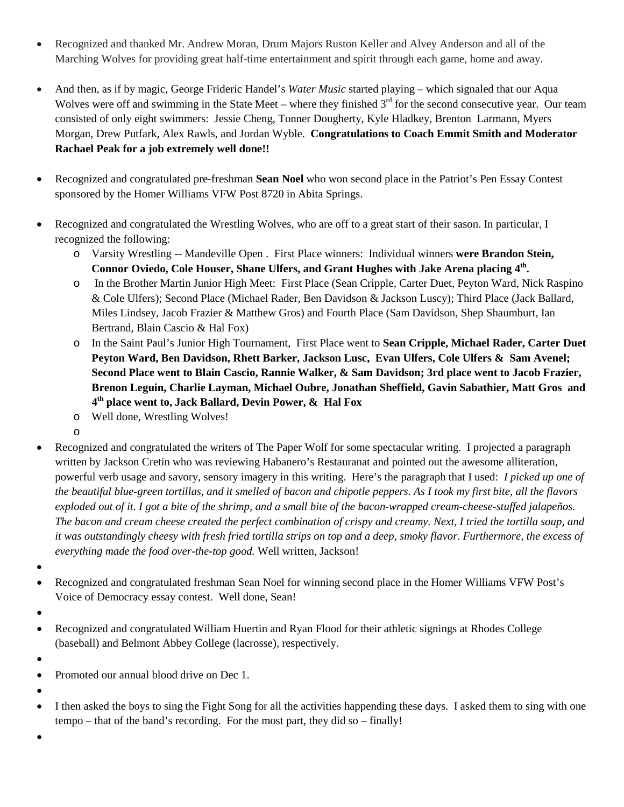- Recognized and thanked Mr. Andrew Moran, Drum Majors Ruston Keller and Alvey Anderson and all of the Marching Wolves for providing great half-time entertainment and spirit through each game, home and away.
- And then, as if by magic, George Frideric Handel's *Water Music* started playing which signaled that our Aqua Wolves were off and swimming in the State Meet – where they finished  $3<sup>rd</sup>$  for the second consecutive year. Our team consisted of only eight swimmers: Jessie Cheng, Tonner Dougherty, Kyle Hladkey, Brenton Larmann, Myers Morgan, Drew Putfark, Alex Rawls, and Jordan Wyble. **Congratulations to Coach Emmit Smith and Moderator Rachael Peak for a job extremely well done!!**
- Recognized and congratulated pre-freshman **Sean Noel** who won second place in the Patriot's Pen Essay Contest sponsored by the Homer Williams VFW Post 8720 in Abita Springs.
- Recognized and congratulated the Wrestling Wolves, who are off to a great start of their sason. In particular, I recognized the following:
	- o Varsity Wrestling -- Mandeville Open . First Place winners: Individual winners **were Brandon Stein, Connor Oviedo, Cole Houser, Shane Ulfers, and Grant Hughes with Jake Arena placing 4th.**
	- o In the Brother Martin Junior High Meet: First Place (Sean Cripple, Carter Duet, Peyton Ward, Nick Raspino & Cole Ulfers); Second Place (Michael Rader, Ben Davidson & Jackson Luscy); Third Place (Jack Ballard, Miles Lindsey, Jacob Frazier & Matthew Gros) and Fourth Place (Sam Davidson, Shep Shaumburt, Ian Bertrand, Blain Cascio & Hal Fox)
	- o In the Saint Paul's Junior High Tournament, First Place went to **Sean Cripple, Michael Rader, Carter Duet Peyton Ward, Ben Davidson, Rhett Barker, Jackson Lusc, Evan Ulfers, Cole Ulfers & Sam Avenel; Second Place went to Blain Cascio, Rannie Walker, & Sam Davidson; 3rd place went to Jacob Frazier, Brenon Leguin, Charlie Layman, Michael Oubre, Jonathan Sheffield, Gavin Sabathier, Matt Gros and 4th place went to, Jack Ballard, Devin Power, & Hal Fox**
	- o Well done, Wrestling Wolves!
	- o
- Recognized and congratulated the writers of The Paper Wolf for some spectacular writing. I projected a paragraph written by Jackson Cretin who was reviewing Habanero's Restauranat and pointed out the awesome alliteration, powerful verb usage and savory, sensory imagery in this writing. Here's the paragraph that I used: *I picked up one of the beautiful blue-green tortillas, and it smelled of bacon and chipotle peppers. As I took my first bite, all the flavors exploded out of it. I got a bite of the shrimp, and a small bite of the bacon-wrapped cream-cheese-stuffed jalapeños. The bacon and cream cheese created the perfect combination of crispy and creamy. Next, I tried the tortilla soup, and it was outstandingly cheesy with fresh fried tortilla strips on top and a deep, smoky flavor. Furthermore, the excess of everything made the food over-the-top good.* Well written, Jackson!
- •
- Recognized and congratulated freshman Sean Noel for winning second place in the Homer Williams VFW Post's Voice of Democracy essay contest. Well done, Sean!
- •
- Recognized and congratulated William Huertin and Ryan Flood for their athletic signings at Rhodes College (baseball) and Belmont Abbey College (lacrosse), respectively.
- •
- Promoted our annual blood drive on Dec 1.
- •
- I then asked the boys to sing the Fight Song for all the activities happending these days. I asked them to sing with one tempo – that of the band's recording. For the most part, they did so – finally!

•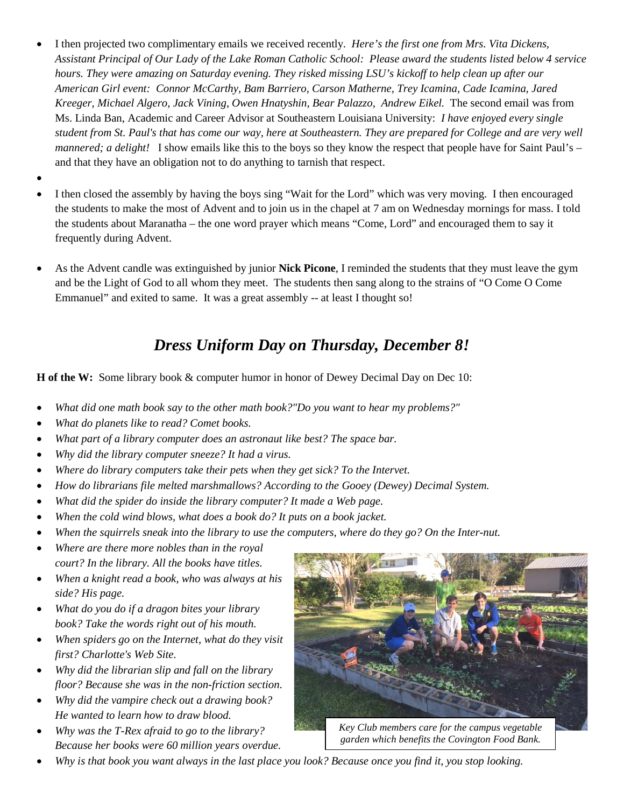- I then projected two complimentary emails we received recently. *Here's the first one from Mrs. Vita Dickens, Assistant Principal of Our Lady of the Lake Roman Catholic School: Please award the students listed below 4 service hours. They were amazing on Saturday evening. They risked missing LSU's kickoff to help clean up after our American Girl event: Connor McCarthy, Bam Barriero, Carson Matherne, Trey Icamina, Cade Icamina, Jared Kreeger, Michael Algero, Jack Vining, Owen Hnatyshin, Bear Palazzo, Andrew Eikel.* The second email was from Ms. Linda Ban, Academic and Career Advisor at Southeastern Louisiana University: *I have enjoyed every single student from St. Paul's that has come our way, here at Southeastern. They are prepared for College and are very well mannered; a delight!* I show emails like this to the boys so they know the respect that people have for Saint Paul's – and that they have an obligation not to do anything to tarnish that respect.
- •
- I then closed the assembly by having the boys sing "Wait for the Lord" which was very moving. I then encouraged the students to make the most of Advent and to join us in the chapel at 7 am on Wednesday mornings for mass. I told the students about Maranatha – the one word prayer which means "Come, Lord" and encouraged them to say it frequently during Advent.
- As the Advent candle was extinguished by junior **Nick Picone**, I reminded the students that they must leave the gym and be the Light of God to all whom they meet.The students then sang along to the strains of "O Come O Come Emmanuel" and exited to same. It was a great assembly -- at least I thought so!

# *Dress Uniform Day on Thursday, December 8!*

**H of the W:** Some library book & computer humor in honor of Dewey Decimal Day on Dec 10:

- *What did one math book say to the other math book?"Do you want to hear my problems?"*
- *What do planets like to read? Comet books.*
- *What part of a library computer does an astronaut like best? The space bar.*
- *Why did the library computer sneeze? It had a virus.*
- *Where do library computers take their pets when they get sick? To the Intervet.*
- *How do librarians file melted marshmallows? According to the Gooey (Dewey) Decimal System.*
- *What did the spider do inside the library computer? It made a Web page.*
- *When the cold wind blows, what does a book do? It puts on a book jacket.*
- When the squirrels sneak into the library to use the computers, where do they go? On the Inter-nut.
- *Where are there more nobles than in the royal court? In the library. All the books have titles.*
- *When a knight read a book, who was always at his side? His page.*
- *What do you do if a dragon bites your library book? Take the words right out of his mouth.*
- *When spiders go on the Internet, what do they visit first? Charlotte's Web Site.*
- *Why did the librarian slip and fall on the library floor? Because she was in the non-friction section.*
- *Why did the vampire check out a drawing book? He wanted to learn how to draw blood.*
- *Why was the T-Rex afraid to go to the library? Because her books were 60 million years overdue.*



*Key Club members care for the campus vegetable garden which benefits the Covington Food Bank.*

• *Why is that book you want always in the last place you look? Because once you find it, you stop looking.*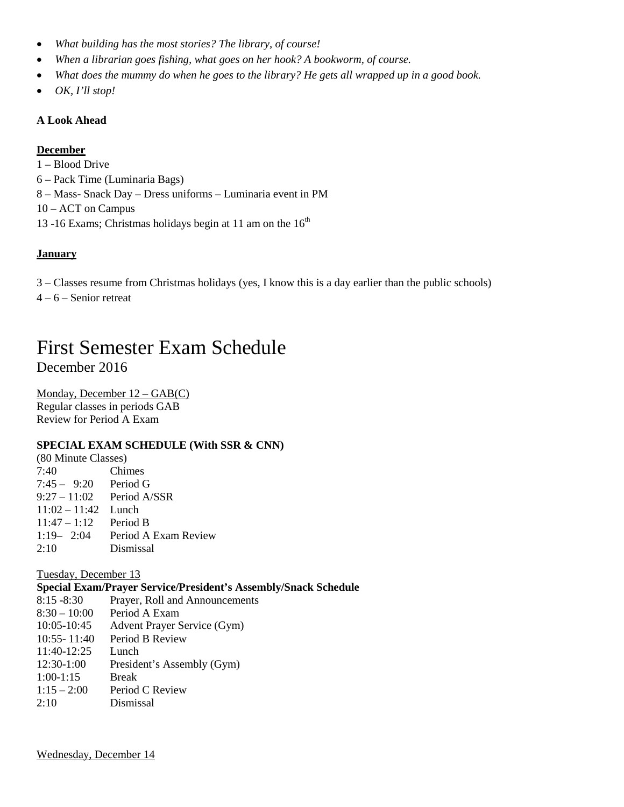- *What building has the most stories? The library, of course!*
- *When a librarian goes fishing, what goes on her hook? A bookworm, of course.*
- *What does the mummy do when he goes to the library? He gets all wrapped up in a good book.*
- *OK, I'll stop!*

#### **A Look Ahead**

#### **December**

- 1 Blood Drive
- 6 Pack Time (Luminaria Bags)
- 8 Mass- Snack Day Dress uniforms Luminaria event in PM
- 10 ACT on Campus
- 13 -16 Exams; Christmas holidays begin at 11 am on the  $16<sup>th</sup>$

### **January**

- 3 Classes resume from Christmas holidays (yes, I know this is a day earlier than the public schools)
- 4 6 Senior retreat

## First Semester Exam Schedule December 2016

Regular classes in periods GAB Monday, December 12 – GAB(C) Review for Period A Exam

#### **SPECIAL EXAM SCHEDULE (With SSR & CNN)**

| (80 Minute Classes)    |                                    |  |
|------------------------|------------------------------------|--|
| 7:40                   | Chimes                             |  |
| $7:45 - 9:20$ Period G |                                    |  |
|                        | $9:27 - 11:02$ Period A/SSR        |  |
| $11:02 - 11:42$ Lunch  |                                    |  |
| $11:47 - 1:12$         | Period B                           |  |
|                        | 1:19 $-$ 2:04 Period A Exam Review |  |
| 2:10                   | Dismissal                          |  |
|                        |                                    |  |

Tuesday, December 13

#### **Special Exam/Prayer Service/President's Assembly/Snack Schedule**

- 8:15 -8:30 Prayer, Roll and Announcements 8:30 – 10:00 Period A Exam 10:05-10:45 Advent Prayer Service (Gym)
- 10:55- 11:40 Period B Review
- 11:40-12:25 Lunch
- 12:30-1:00 President's Assembly (Gym)
- 1:00-1:15 Break
- $1:15 2:00$  Period C Review
- 2:10 Dismissal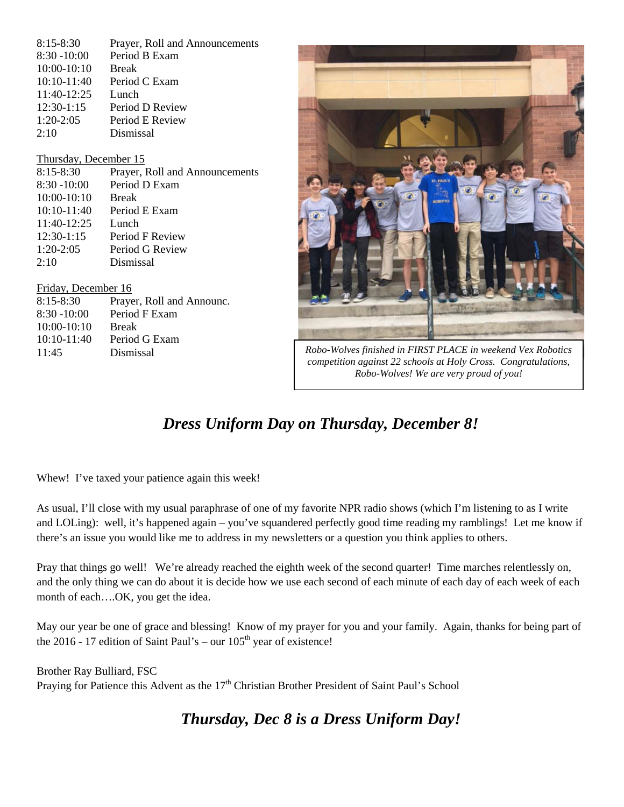| $8:15 - 8:30$<br>$8:30 - 10:00$ | Prayer, Roll and Announcements<br>Period B Exam |                                                                |
|---------------------------------|-------------------------------------------------|----------------------------------------------------------------|
| $10:00-10:10$                   | <b>Break</b>                                    |                                                                |
| $10:10-11:40$                   | Period C Exam                                   |                                                                |
| 11:40-12:25                     | Lunch                                           |                                                                |
| $12:30-1:15$                    | Period D Review                                 |                                                                |
| $1:20-2:05$                     | Period E Review                                 |                                                                |
| 2:10                            | Dismissal                                       |                                                                |
|                                 |                                                 |                                                                |
| Thursday, December 15           |                                                 |                                                                |
| $8:15 - 8:30$                   | Prayer, Roll and Announcements                  |                                                                |
| $8:30 - 10:00$                  | Period D Exam                                   |                                                                |
| $10:00-10:10$                   | <b>Break</b>                                    |                                                                |
| $10:10-11:40$                   | Period E Exam                                   |                                                                |
| 11:40-12:25                     | Lunch                                           |                                                                |
| $12:30-1:15$                    | Period F Review                                 |                                                                |
| $1:20-2:05$                     | Period G Review                                 |                                                                |
| 2:10                            | Dismissal                                       |                                                                |
|                                 |                                                 |                                                                |
| Friday, December 16             |                                                 |                                                                |
| $8:15 - 8:30$                   | Prayer, Roll and Announc.                       |                                                                |
| $8:30 - 10:00$                  | Period F Exam                                   |                                                                |
| $10:00-10:10$                   | <b>Break</b>                                    |                                                                |
| $10:10-11:40$                   | Period G Exam                                   |                                                                |
| 11:45                           | Dismissal                                       | Robo-Wolves finished in FIRST PLACE in weekend Vex Robotics    |
|                                 |                                                 | competition against 22 schools at Holy Cross. Congratulations, |

# *Dress Uniform Day on Thursday, December 8!*

*Robo-Wolves! We are very proud of you!*

Whew! I've taxed your patience again this week!

As usual, I'll close with my usual paraphrase of one of my favorite NPR radio shows (which I'm listening to as I write and LOLing): well, it's happened again – you've squandered perfectly good time reading my ramblings! Let me know if there's an issue you would like me to address in my newsletters or a question you think applies to others.

Pray that things go well! We're already reached the eighth week of the second quarter! Time marches relentlessly on, and the only thing we can do about it is decide how we use each second of each minute of each day of each week of each month of each….OK, you get the idea.

May our year be one of grace and blessing! Know of my prayer for you and your family. Again, thanks for being part of the 2016 - 17 edition of Saint Paul's – our  $105<sup>th</sup>$  year of existence!

Brother Ray Bulliard, FSC Praying for Patience this Advent as the 17<sup>th</sup> Christian Brother President of Saint Paul's School

*Thursday, Dec 8 is a Dress Uniform Day!*